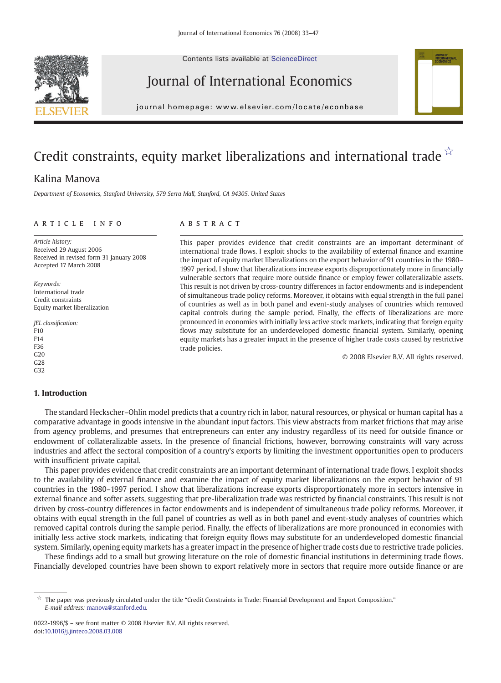Contents lists available at ScienceDirect



Journal of International Economics

j o u r n a l h om e p a g e : www. e l s ev i e r. c om / l o c a t e / e c o n b a s e

# Credit constraints, equity market liberalizations and international trade  $\overline{\mathbf{x}}$

## Kalina Manova

Department of Economics, Stanford University, 579 Serra Mall, Stanford, CA 94305, United States

#### article info abstract

Article history: Received 29 August 2006 Received in revised form 31 January 2008 Accepted 17 March 2008

Keywords: International trade Credit constraints Equity market liberalization

JEL classification:  $F10$ F14 F36  $G20$ G28  $G<sub>32</sub>$ 

#### 1. Introduction

This paper provides evidence that credit constraints are an important determinant of international trade flows. I exploit shocks to the availability of external finance and examine the impact of equity market liberalizations on the export behavior of 91 countries in the 1980– 1997 period. I show that liberalizations increase exports disproportionately more in financially vulnerable sectors that require more outside finance or employ fewer collateralizable assets. This result is not driven by cross-country differences in factor endowments and is independent of simultaneous trade policy reforms. Moreover, it obtains with equal strength in the full panel of countries as well as in both panel and event-study analyses of countries which removed capital controls during the sample period. Finally, the effects of liberalizations are more pronounced in economies with initially less active stock markets, indicating that foreign equity flows may substitute for an underdeveloped domestic financial system. Similarly, opening equity markets has a greater impact in the presence of higher trade costs caused by restrictive trade policies.

© 2008 Elsevier B.V. All rights reserved.

The standard Heckscher–Ohlin model predicts that a country rich in labor, natural resources, or physical or human capital has a comparative advantage in goods intensive in the abundant input factors. This view abstracts from market frictions that may arise from agency problems, and presumes that entrepreneurs can enter any industry regardless of its need for outside finance or endowment of collateralizable assets. In the presence of financial frictions, however, borrowing constraints will vary across industries and affect the sectoral composition of a country's exports by limiting the investment opportunities open to producers with insufficient private capital.

This paper provides evidence that credit constraints are an important determinant of international trade flows. I exploit shocks to the availability of external finance and examine the impact of equity market liberalizations on the export behavior of 91 countries in the 1980–1997 period. I show that liberalizations increase exports disproportionately more in sectors intensive in external finance and softer assets, suggesting that pre-liberalization trade was restricted by financial constraints. This result is not driven by cross-country differences in factor endowments and is independent of simultaneous trade policy reforms. Moreover, it obtains with equal strength in the full panel of countries as well as in both panel and event-study analyses of countries which removed capital controls during the sample period. Finally, the effects of liberalizations are more pronounced in economies with initially less active stock markets, indicating that foreign equity flows may substitute for an underdeveloped domestic financial system. Similarly, opening equity markets has a greater impact in the presence of higher trade costs due to restrictive trade policies.

These findings add to a small but growing literature on the role of domestic financial institutions in determining trade flows. Financially developed countries have been shown to export relatively more in sectors that require more outside finance or are

The paper was previously circulated under the title "Credit Constraints in Trade: Financial Development and Export Composition." E-mail address: [manova@stanford.edu.](mailto:manova@stanford.edu)

<sup>0022-1996/\$</sup> – see front matter © 2008 Elsevier B.V. All rights reserved. doi[:10.1016/j.jinteco.2008.03.008](http://dx.doi.org/10.1016/j.jinteco.2008.03.008)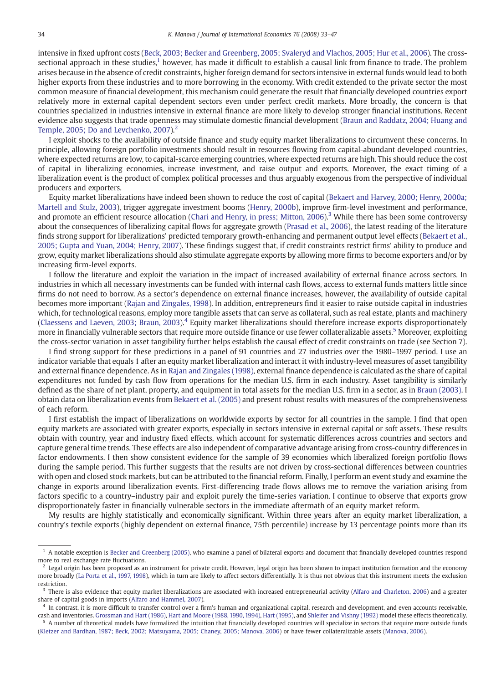intensive in fixed upfront costs ([Beck, 2003; Becker and Greenberg, 2005; Svaleryd and Vlachos, 2005; Hur et al., 2006](#page-13-0)). The crosssectional approach in these studies,<sup>1</sup> however, has made it difficult to establish a causal link from finance to trade. The problem arises because in the absence of credit constraints, higher foreign demand for sectors intensive in external funds would lead to both higher exports from these industries and to more borrowing in the economy. With credit extended to the private sector the most common measure of financial development, this mechanism could generate the result that financially developed countries export relatively more in external capital dependent sectors even under perfect credit markets. More broadly, the concern is that countries specialized in industries intensive in external finance are more likely to develop stronger financial institutions. Recent evidence also suggests that trade openness may stimulate domestic financial development ([Braun and Raddatz, 2004; Huang and](#page-13-0) [Temple, 2005; Do and Levchenko, 2007](#page-13-0)).<sup>2</sup>

I exploit shocks to the availability of outside finance and study equity market liberalizations to circumvent these concerns. In principle, allowing foreign portfolio investments should result in resources flowing from capital-abundant developed countries, where expected returns are low, to capital-scarce emerging countries, where expected returns are high. This should reduce the cost of capital in liberalizing economies, increase investment, and raise output and exports. Moreover, the exact timing of a liberalization event is the product of complex political processes and thus arguably exogenous from the perspective of individual producers and exporters.

Equity market liberalizations have indeed been shown to reduce the cost of capital ([Bekaert and Harvey, 2000; Henry, 2000a;](#page-13-0) [Martell and Stulz, 2003\)](#page-13-0), trigger aggregate investment booms ([Henry, 2000b](#page-14-0)), improve firm-level investment and performance, and promote an efficient resource allocation ([Chari and Henry, in press; Mitton, 2006](#page-13-0)).<sup>3</sup> While there has been some controversy about the consequences of liberalizing capital flows for aggregate growth ([Prasad et al., 2006\)](#page-14-0), the latest reading of the literature finds strong support for liberalizations' predicted temporary growth-enhancing and permanent output level effects [\(Bekaert et al.,](#page-13-0) [2005; Gupta and Yuan, 2004; Henry, 2007\)](#page-13-0). These findings suggest that, if credit constraints restrict firms' ability to produce and grow, equity market liberalizations should also stimulate aggregate exports by allowing more firms to become exporters and/or by increasing firm-level exports.

I follow the literature and exploit the variation in the impact of increased availability of external finance across sectors. In industries in which all necessary investments can be funded with internal cash flows, access to external funds matters little since firms do not need to borrow. As a sector's dependence on external finance increases, however, the availability of outside capital becomes more important [\(Rajan and Zingales, 1998\)](#page-14-0). In addition, entrepreneurs find it easier to raise outside capital in industries which, for technological reasons, employ more tangible assets that can serve as collateral, such as real estate, plants and machinery [\(Claessens and Laeven, 2003; Braun, 2003\)](#page-13-0).<sup>4</sup> Equity market liberalizations should therefore increase exports disproportionately more in financially vulnerable sectors that require more outside finance or use fewer collateralizable assets.<sup>5</sup> Moreover, exploiting the cross-sector variation in asset tangibility further helps establish the causal effect of credit constraints on trade (see Section 7).

I find strong support for these predictions in a panel of 91 countries and 27 industries over the 1980–1997 period. I use an indicator variable that equals 1 after an equity market liberalization and interact it with industry-level measures of asset tangibility and external finance dependence. As in [Rajan and Zingales \(1998\)](#page-14-0), external finance dependence is calculated as the share of capital expenditures not funded by cash flow from operations for the median U.S. firm in each industry. Asset tangibility is similarly defined as the share of net plant, property, and equipment in total assets for the median U.S. firm in a sector, as in [Braun \(2003\)](#page-13-0). I obtain data on liberalization events from [Bekaert et al. \(2005\)](#page-13-0) and present robust results with measures of the comprehensiveness of each reform.

I first establish the impact of liberalizations on worldwide exports by sector for all countries in the sample. I find that open equity markets are associated with greater exports, especially in sectors intensive in external capital or soft assets. These results obtain with country, year and industry fixed effects, which account for systematic differences across countries and sectors and capture general time trends. These effects are also independent of comparative advantage arising from cross-country differences in factor endowments. I then show consistent evidence for the sample of 39 economies which liberalized foreign portfolio flows during the sample period. This further suggests that the results are not driven by cross-sectional differences between countries with open and closed stock markets, but can be attributed to the financial reform. Finally, I perform an event study and examine the change in exports around liberalization events. First-differencing trade flows allows me to remove the variation arising from factors specific to a country–industry pair and exploit purely the time-series variation. I continue to observe that exports grow disproportionately faster in financially vulnerable sectors in the immediate aftermath of an equity market reform.

My results are highly statistically and economically significant. Within three years after an equity market liberalization, a country's textile exports (highly dependent on external finance, 75th percentile) increase by 13 percentage points more than its

<sup>&</sup>lt;sup>1</sup> A notable exception is [Becker and Greenberg \(2005\)](#page-13-0), who examine a panel of bilateral exports and document that financially developed countries respond more to real exchange rate fluctuations.

 $<sup>2</sup>$  Legal origin has been proposed as an instrument for private credit. However, legal origin has been shown to impact institution formation and the economy</sup> more broadly ([La Porta et al., 1997, 1998\)](#page-14-0), which in turn are likely to affect sectors differentially. It is thus not obvious that this instrument meets the exclusion restriction.

 $3$  There is also evidence that equity market liberalizations are associated with increased entrepreneurial activity ([Alfaro and Charleton, 2006\)](#page-13-0) and a greater share of capital goods in imports ([Alfaro and Hammel, 2007](#page-13-0)).

<sup>&</sup>lt;sup>4</sup> In contrast, it is more difficult to transfer control over a firm's human and organizational capital, research and development, and even accounts receivable, cash and inventories. [Grossman and Hart \(1986\)](#page-14-0), [Hart and Moore \(1988, 1990, 1994\),](#page-14-0) [Hart \(1995\)](#page-14-0), and [Shleifer and Vishny \(1992\)](#page-14-0) model these effects theoretically.

 $5$  A number of theoretical models have formalized the intuition that financially developed countries will specialize in sectors that require more outside funds ([Kletzer and Bardhan, 1987; Beck, 2002; Matsuyama, 2005; Chaney, 2005; Manova, 2006\)](#page-14-0) or have fewer collateralizable assets ([Manova, 2006](#page-14-0)).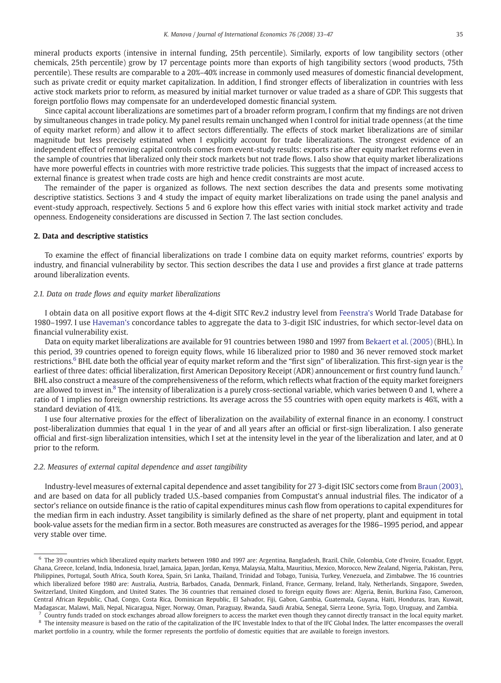mineral products exports (intensive in internal funding, 25th percentile). Similarly, exports of low tangibility sectors (other chemicals, 25th percentile) grow by 17 percentage points more than exports of high tangibility sectors (wood products, 75th percentile). These results are comparable to a 20%–40% increase in commonly used measures of domestic financial development, such as private credit or equity market capitalization. In addition, I find stronger effects of liberalization in countries with less active stock markets prior to reform, as measured by initial market turnover or value traded as a share of GDP. This suggests that foreign portfolio flows may compensate for an underdeveloped domestic financial system.

Since capital account liberalizations are sometimes part of a broader reform program, I confirm that my findings are not driven by simultaneous changes in trade policy. My panel results remain unchanged when I control for initial trade openness (at the time of equity market reform) and allow it to affect sectors differentially. The effects of stock market liberalizations are of similar magnitude but less precisely estimated when I explicitly account for trade liberalizations. The strongest evidence of an independent effect of removing capital controls comes from event-study results: exports rise after equity market reforms even in the sample of countries that liberalized only their stock markets but not trade flows. I also show that equity market liberalizations have more powerful effects in countries with more restrictive trade policies. This suggests that the impact of increased access to external finance is greatest when trade costs are high and hence credit constraints are most acute.

The remainder of the paper is organized as follows. The next section describes the data and presents some motivating descriptive statistics. Sections 3 and 4 study the impact of equity market liberalizations on trade using the panel analysis and event-study approach, respectively. Sections 5 and 6 explore how this effect varies with initial stock market activity and trade openness. Endogeneity considerations are discussed in Section 7. The last section concludes.

#### 2. Data and descriptive statistics

To examine the effect of financial liberalizations on trade I combine data on equity market reforms, countries' exports by industry, and financial vulnerability by sector. This section describes the data I use and provides a first glance at trade patterns around liberalization events.

#### 2.1. Data on trade flows and equity market liberalizations

I obtain data on all positive export flows at the 4-digit SITC Rev.2 industry level from [Feenstra's](#page-13-0) World Trade Database for 1980–1997. I use [Haveman's](#page-14-0) concordance tables to aggregate the data to 3-digit ISIC industries, for which sector-level data on financial vulnerability exist.

Data on equity market liberalizations are available for 91 countries between 1980 and 1997 from [Bekaert et al. \(2005\)](#page-13-0) (BHL). In this period, 39 countries opened to foreign equity flows, while 16 liberalized prior to 1980 and 36 never removed stock market restrictions.<sup>6</sup> BHL date both the official year of equity market reform and the "first sign" of liberalization. This first-sign year is the earliest of three dates: official liberalization, first American Depository Receipt (ADR) announcement or first country fund launch.<sup>7</sup> BHL also construct a measure of the comprehensiveness of the reform, which reflects what fraction of the equity market foreigners are allowed to invest in.<sup>8</sup> The intensity of liberalization is a purely cross-sectional variable, which varies between 0 and 1, where a ratio of 1 implies no foreign ownership restrictions. Its average across the 55 countries with open equity markets is 46%, with a standard deviation of 41%.

I use four alternative proxies for the effect of liberalization on the availability of external finance in an economy. I construct post-liberalization dummies that equal 1 in the year of and all years after an official or first-sign liberalization. I also generate official and first-sign liberalization intensities, which I set at the intensity level in the year of the liberalization and later, and at 0 prior to the reform.

#### 2.2. Measures of external capital dependence and asset tangibility

Industry-level measures of external capital dependence and asset tangibility for 27 3-digit ISIC sectors come from [Braun \(2003\)](#page-13-0), and are based on data for all publicly traded U.S.-based companies from Compustat's annual industrial files. The indicator of a sector's reliance on outside finance is the ratio of capital expenditures minus cash flow from operations to capital expenditures for the median firm in each industry. Asset tangibility is similarly defined as the share of net property, plant and equipment in total book-value assets for the median firm in a sector. Both measures are constructed as averages for the 1986–1995 period, and appear very stable over time.

<sup>6</sup> The 39 countries which liberalized equity markets between 1980 and 1997 are: Argentina, Bangladesh, Brazil, Chile, Colombia, Cote d'Ivoire, Ecuador, Egypt, Ghana, Greece, Iceland, India, Indonesia, Israel, Jamaica, Japan, Jordan, Kenya, Malaysia, Malta, Mauritius, Mexico, Morocco, New Zealand, Nigeria, Pakistan, Peru, Philippines, Portugal, South Africa, South Korea, Spain, Sri Lanka, Thailand, Trinidad and Tobago, Tunisia, Turkey, Venezuela, and Zimbabwe. The 16 countries which liberalized before 1980 are: Australia, Austria, Barbados, Canada, Denmark, Finland, France, Germany, Ireland, Italy, Netherlands, Singapore, Sweden, Switzerland, United Kingdom, and United States. The 36 countries that remained closed to foreign equity flows are: Algeria, Benin, Burkina Faso, Cameroon, Central African Republic, Chad, Congo, Costa Rica, Dominican Republic, El Salvador, Fiji, Gabon, Gambia, Guatemala, Guyana, Haiti, Honduras, Iran, Kuwait, Madagascar, Malawi, Mali, Nepal, Nicaragua, Niger, Norway, Oman, Paraguay, Rwanda, Saudi Arabia, Senegal, Sierra Leone, Syria, Togo, Uruguay, and Zambia.

<sup>7</sup> Country funds traded on stock exchanges abroad allow foreigners to access the market even though they cannot directly transact in the local equity market. <sup>8</sup> The intensity measure is based on the ratio of the capitalization of the IFC Investable Index to that of the IFC Global Index. The latter encompasses the overall

market portfolio in a country, while the former represents the portfolio of domestic equities that are available to foreign investors.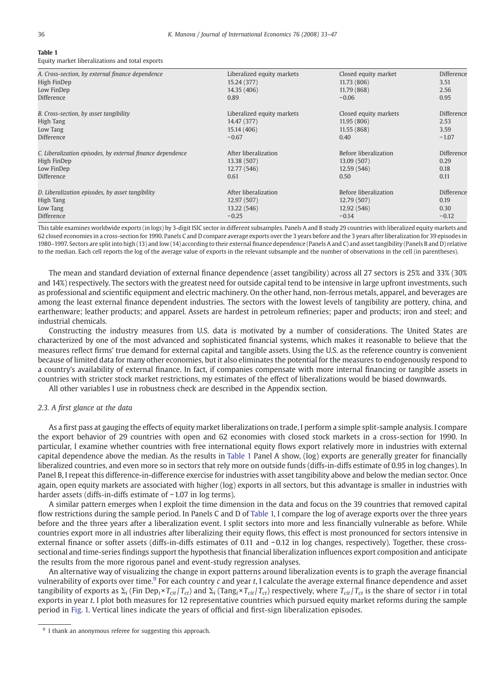| Table 1 |                                                 |  |  |
|---------|-------------------------------------------------|--|--|
|         | Equity market liberalizations and total exports |  |  |

| A. Cross-section, by external finance dependence           | Liberalized equity markets | Closed equity market  | Difference |
|------------------------------------------------------------|----------------------------|-----------------------|------------|
| High FinDep                                                | 15.24 (377)                | 11.73 (806)           | 3.51       |
| Low FinDep                                                 | 14.35 (406)                | 11.79 (868)           | 2.56       |
| Difference                                                 | 0.89                       | $-0.06$               | 0.95       |
| B. Cross-section, by asset tangibility                     | Liberalized equity markets | Closed equity markets | Difference |
| High Tang                                                  | 14.47 (377)                | 11.95(806)            | 2.53       |
| Low Tang                                                   | 15.14 (406)                | 11.55(868)            | 3.59       |
| Difference                                                 | $-0.67$                    | 0.40                  | $-1.07$    |
| C. Liberalization episodes, by external finance dependence | After liberalization       | Before liberalization | Difference |
| High FinDep                                                | 13.38 (507)                | 13.09 (507)           | 0.29       |
| Low FinDep                                                 | 12.77 (546)                | 12.59 (546)           | 0.18       |
| Difference                                                 | 0.61                       | 0.50                  | 0.11       |
| D. Liberalization episodes, by asset tangibility           | After liberalization       | Before liberalization | Difference |
| High Tang                                                  | 12.97 (507)                | 12.79 (507)           | 0.19       |
| Low Tang                                                   | 13.22 (546)                | 12.92 (546)           | 0.30       |
| Difference                                                 | $-0.25$                    | $-0.14$               | $-0.12$    |

This table examines worldwide exports (in logs) by 3-digit ISIC sector in different subsamples. Panels A and B study 29 countries with liberalized equity markets and 62 closed economies in a cross-section for 1990. Panels C and D compare average exports over the 3 years before and the 3 years after liberalization for 39 episodes in 1980–1997. Sectors are split into high (13) and low (14) according to their external finance dependence (Panels A and C) and asset tangibility (Panels B and D) relative to the median. Each cell reports the log of the average value of exports in the relevant subsample and the number of observations in the cell (in parentheses).

The mean and standard deviation of external finance dependence (asset tangibility) across all 27 sectors is 25% and 33% (30% and 14%) respectively. The sectors with the greatest need for outside capital tend to be intensive in large upfront investments, such as professional and scientific equipment and electric machinery. On the other hand, non-ferrous metals, apparel, and beverages are among the least external finance dependent industries. The sectors with the lowest levels of tangibility are pottery, china, and earthenware; leather products; and apparel. Assets are hardest in petroleum refineries; paper and products; iron and steel; and industrial chemicals.

Constructing the industry measures from U.S. data is motivated by a number of considerations. The United States are characterized by one of the most advanced and sophisticated financial systems, which makes it reasonable to believe that the measures reflect firms' true demand for external capital and tangible assets. Using the U.S. as the reference country is convenient because of limited data for many other economies, but it also eliminates the potential for the measures to endogenously respond to a country's availability of external finance. In fact, if companies compensate with more internal financing or tangible assets in countries with stricter stock market restrictions, my estimates of the effect of liberalizations would be biased downwards.

All other variables I use in robustness check are described in the Appendix section.

#### 2.3. A first glance at the data

As a first pass at gauging the effects of equity market liberalizations on trade, I perform a simple split-sample analysis. I compare the export behavior of 29 countries with open and 62 economies with closed stock markets in a cross-section for 1990. In particular, I examine whether countries with free international equity flows export relatively more in industries with external capital dependence above the median. As the results in Table 1 Panel A show, (log) exports are generally greater for financially liberalized countries, and even more so in sectors that rely more on outside funds (diffs-in-diffs estimate of 0.95 in log changes). In Panel B, I repeat this difference-in-difference exercise for industries with asset tangibility above and below the median sector. Once again, open equity markets are associated with higher (log) exports in all sectors, but this advantage is smaller in industries with harder assets (diffs-in-diffs estimate of -1.07 in log terms).

A similar pattern emerges when I exploit the time dimension in the data and focus on the 39 countries that removed capital flow restrictions during the sample period. In Panels C and D of Table 1, I compare the log of average exports over the three years before and the three years after a liberalization event. I split sectors into more and less financially vulnerable as before. While countries export more in all industries after liberalizing their equity flows, this effect is most pronounced for sectors intensive in external finance or softer assets (diffs-in-diffs estimates of 0.11 and −0.12 in log changes, respectively). Together, these crosssectional and time-series findings support the hypothesis that financial liberalization influences export composition and anticipate the results from the more rigorous panel and event-study regression analyses.

An alternative way of visualizing the change in export patterns around liberalization events is to graph the average financial vulnerability of exports over time.<sup>9</sup> For each country c and year  $t$ , I calculate the average external finance dependence and asset tangibility of exports as  $\Sigma_i$  (Fin Dep<sub>i</sub>× T<sub>cit</sub> / T<sub>ct</sub>) and  $\Sigma_i$  (Tang<sub>i</sub>× T<sub>cit</sub> / T<sub>ct</sub>) respectively, where T<sub>cit</sub> / T<sub>ct</sub> is the share of sector *i* in total exports in year t. I plot both measures for 12 representative countries which pursued equity market reforms during the sample period in [Fig. 1.](#page-4-0) Vertical lines indicate the years of official and first-sign liberalization episodes.

 $9$  I thank an anonymous referee for suggesting this approach.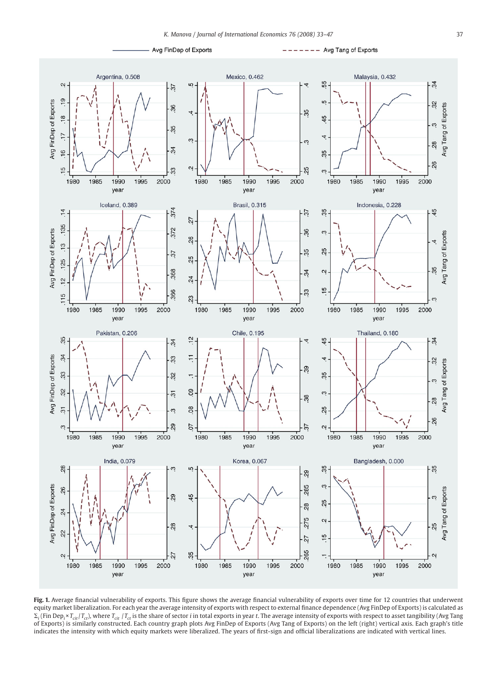<span id="page-4-0"></span>

Fig. 1. Average financial vulnerability of exports. This figure shows the average financial vulnerability of exports over time for 12 countries that underwent equity market liberalization. For each year the average intensity of exports with respect to external finance dependence (Avg FinDep of Exports) is calculated as  $\Sigma_i$  (Fin Dep<sub>i</sub>×T<sub>cit</sub>/T<sub>ct</sub>), where T<sub>cit</sub> /T<sub>ct</sub> is the share of sector i in total exports in year t. The average intensity of exports with respect to asset tangibility (Avg Tang<br>of Exports) is similarly constructed. indicates the intensity with which equity markets were liberalized. The years of first-sign and official liberalizations are indicated with vertical lines.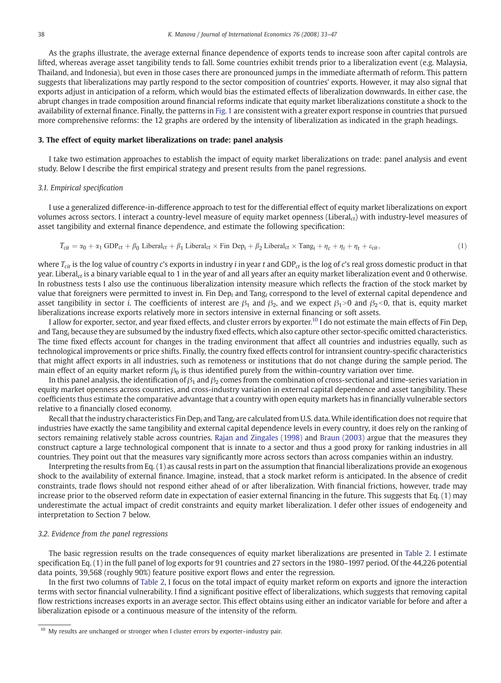As the graphs illustrate, the average external finance dependence of exports tends to increase soon after capital controls are lifted, whereas average asset tangibility tends to fall. Some countries exhibit trends prior to a liberalization event (e.g. Malaysia, Thailand, and Indonesia), but even in those cases there are pronounced jumps in the immediate aftermath of reform. This pattern suggests that liberalizations may partly respond to the sector composition of countries' exports. However, it may also signal that exports adjust in anticipation of a reform, which would bias the estimated effects of liberalization downwards. In either case, the abrupt changes in trade composition around financial reforms indicate that equity market liberalizations constitute a shock to the availability of external finance. Finally, the patterns in [Fig. 1](#page-4-0) are consistent with a greater export response in countries that pursued more comprehensive reforms: the 12 graphs are ordered by the intensity of liberalization as indicated in the graph headings.

#### 3. The effect of equity market liberalizations on trade: panel analysis

I take two estimation approaches to establish the impact of equity market liberalizations on trade: panel analysis and event study. Below I describe the first empirical strategy and present results from the panel regressions.

#### 3.1. Empirical specification

I use a generalized difference-in-difference approach to test for the differential effect of equity market liberalizations on export volumes across sectors. I interact a country-level measure of equity market openness (Liberal<sub>ct</sub>) with industry-level measures of asset tangibility and external finance dependence, and estimate the following specification:

$$
T_{\text{cit}} = \alpha_0 + \alpha_1 \text{ GDP}_{\text{ct}} + \beta_0 \text{ Liberal}_{\text{ct}} + \beta_1 \text{ Liberal}_{\text{ct}} \times \text{Fin Dep}_i + \beta_2 \text{ Liberal}_{\text{ct}} \times \text{Tang}_i + \eta_{\text{c}} + \eta_i + \eta_t + \varepsilon_{\text{cit}},\tag{1}
$$

where  $T_{cir}$  is the log value of country c's exports in industry *i* in year t and GDP<sub>ct</sub> is the log of c's real gross domestic product in that year. Liberal<sub>ct</sub> is a binary variable equal to 1 in the year of and all years after an equity market liberalization event and 0 otherwise. In robustness tests I also use the continuous liberalization intensity measure which reflects the fraction of the stock market by value that foreigners were permitted to invest in. Fin Dep<sub>i</sub> and Tang<sub>i</sub> correspond to the level of external capital dependence and asset tangibility in sector *i*. The coefficients of interest are  $\beta_1$  and  $\beta_2$ , and we expect  $\beta_1 > 0$  and  $\beta_2 < 0$ , that is, equity market liberalizations increase exports relatively more in sectors intensive in external financing or soft assets.

I allow for exporter, sector, and year fixed effects, and cluster errors by exporter.<sup>10</sup> I do not estimate the main effects of Fin Dep<sub>i</sub> and Tang<sub>i</sub> because they are subsumed by the industry fixed effects, which also capture other sector-specific omitted characteristics. The time fixed effects account for changes in the trading environment that affect all countries and industries equally, such as technological improvements or price shifts. Finally, the country fixed effects control for intransient country-specific characteristics that might affect exports in all industries, such as remoteness or institutions that do not change during the sample period. The main effect of an equity market reform  $\beta_0$  is thus identified purely from the within-country variation over time.

In this panel analysis, the identification of  $\beta_1$  and  $\beta_2$  comes from the combination of cross-sectional and time-series variation in equity market openness across countries, and cross-industry variation in external capital dependence and asset tangibility. These coefficients thus estimate the comparative advantage that a country with open equity markets has in financially vulnerable sectors relative to a financially closed economy.

Recall that the industry characteristics Fin Dep<sub>i</sub> and Tang<sub>i</sub> are calculated from U.S. data. While identification does not require that industries have exactly the same tangibility and external capital dependence levels in every country, it does rely on the ranking of sectors remaining relatively stable across countries. [Rajan and Zingales \(1998\)](#page-14-0) and [Braun \(2003\)](#page-13-0) argue that the measures they construct capture a large technological component that is innate to a sector and thus a good proxy for ranking industries in all countries. They point out that the measures vary significantly more across sectors than across companies within an industry.

Interpreting the results from Eq. (1) as causal rests in part on the assumption that financial liberalizations provide an exogenous shock to the availability of external finance. Imagine, instead, that a stock market reform is anticipated. In the absence of credit constraints, trade flows should not respond either ahead of or after liberalization. With financial frictions, however, trade may increase prior to the observed reform date in expectation of easier external financing in the future. This suggests that Eq. (1) may underestimate the actual impact of credit constraints and equity market liberalization. I defer other issues of endogeneity and interpretation to Section 7 below.

#### 3.2. Evidence from the panel regressions

The basic regression results on the trade consequences of equity market liberalizations are presented in [Table 2](#page-6-0). I estimate specification Eq. (1) in the full panel of log exports for 91 countries and 27 sectors in the 1980–1997 period. Of the 44,226 potential data points, 39,568 (roughly 90%) feature positive export flows and enter the regression.

In the first two columns of [Table 2,](#page-6-0) I focus on the total impact of equity market reform on exports and ignore the interaction terms with sector financial vulnerability. I find a significant positive effect of liberalizations, which suggests that removing capital flow restrictions increases exports in an average sector. This effect obtains using either an indicator variable for before and after a liberalization episode or a continuous measure of the intensity of the reform.

 $10$  My results are unchanged or stronger when I cluster errors by exporter–industry pair.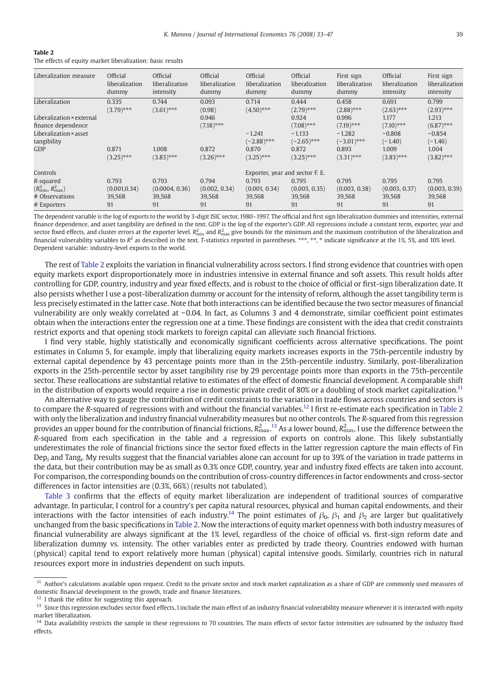<span id="page-6-0"></span>

The effects of equity market liberalization: basic results

| Liberalization measure                                                               | Official<br>liberalization<br>dummy    | Official<br>liberalization<br>intensity | Official<br>liberalization<br>dummy      | Official<br>liberalization<br>dummy                                       | Official<br>liberalization<br>dummy            | First sign<br>liberalization<br>dummy          | Official<br>liberalization<br>intensity        | First sign<br>liberalization<br>intensity      |
|--------------------------------------------------------------------------------------|----------------------------------------|-----------------------------------------|------------------------------------------|---------------------------------------------------------------------------|------------------------------------------------|------------------------------------------------|------------------------------------------------|------------------------------------------------|
| Liberalization<br>Liberalization × external<br>finance dependence                    | 0.335<br>$(3.79)$ ***                  | 0.744<br>$(3.61)$ ***                   | 0.093<br>(0.98)<br>0.946<br>$(7.18)$ *** | 0.714<br>$(4.50)$ ***                                                     | 0.444<br>$(2.79)$ ***<br>0.924<br>$(7.08)$ *** | 0.458<br>$(2.88)$ ***<br>0.996<br>$(7.19)$ *** | 0.691<br>$(2.63)$ ***<br>1.177<br>$(7.10)$ *** | 0.799<br>$(2.93)$ ***<br>1.213<br>$(6.87)$ *** |
| Liberalization $\times$ asset<br>tangibility<br>GDP                                  | 0.871                                  | 1.008                                   | 0.872                                    | $-1.241$<br>$(-2.88)$ ***<br>0.870                                        | $-1.133$<br>$(-2.65)$ ***<br>0.872             | $-1.282$<br>$(-3.01)$ ***<br>0.893             | $-0.808$<br>$(-1.40)$<br>1.009                 | $-0.854$<br>$(-1.46)$<br>1.004                 |
|                                                                                      | $(3.25)$ ***                           | $(3.83)$ ***                            | $(3.26)$ ***                             | $(3.25)$ ***                                                              | $(3.25)$ ***                                   | $(3.31)$ ***                                   | $(3.83)$ ***                                   | $(3.82)$ ***                                   |
| Controls<br>R-squared<br>$(R_{\min}^2, R_{\max}^2)$<br># Observations<br># Exporters | 0.793<br>(0.001, 0.34)<br>39,568<br>91 | 0.793<br>(0.0004, 0.36)<br>39,568<br>91 | 0.794<br>(0.002, 0.34)<br>39,568<br>91   | Exporter, year and sector F. E.<br>0.793<br>(0.001, 0.34)<br>39.568<br>91 | 0.795<br>(0.003, 0.35)<br>39.568<br>91         | 0.795<br>(0.003, 0.38)<br>39,568<br>91         | 0.795<br>(0.003, 0.37)<br>39,568<br>91         | 0.795<br>(0.003, 0.39)<br>39,568<br>91         |

The dependent variable is the log of exports to the world by 3-digit ISIC sector, 1980–1997. The official and first sign liberalization dummies and intensities, external finance dependence, and asset tangibility are defined in the text. GDP is the log of the exporter's GDP. All regressions include a constant term, exporter, year and sector fixed effects, and cluster errors at the exporter level.  $R_{\min}^2$  and  $R_{\max}^2$  give bounds for the minimum and the maximum contribution of the liberalization and financial vulnerability variables to  $R^2$  as described in the text. T-statistics reported in parentheses. \*\*\*, \*\*, \*\* indicate significance at the 1%, 5%, and 10% level. Dependent variable: industry-level exports to the world.

The rest of Table 2 exploits the variation in financial vulnerability across sectors. I find strong evidence that countries with open equity markets export disproportionately more in industries intensive in external finance and soft assets. This result holds after controlling for GDP, country, industry and year fixed effects, and is robust to the choice of official or first-sign liberalization date. It also persists whether I use a post-liberalization dummy or account for the intensity of reform, although the asset tangibility term is less precisely estimated in the latter case. Note that both interactions can be identified because the two sector measures of financial vulnerability are only weakly correlated at −0.04. In fact, as Columns 3 and 4 demonstrate, similar coefficient point estimates obtain when the interactions enter the regression one at a time. These findings are consistent with the idea that credit constraints restrict exports and that opening stock markets to foreign capital can alleviate such financial frictions.

I find very stable, highly statistically and economically significant coefficients across alternative specifications. The point estimates in Column 5, for example, imply that liberalizing equity markets increases exports in the 75th-percentile industry by external capital dependence by 43 percentage points more than in the 25th-percentile industry. Similarly, post-liberalization exports in the 25th-percentile sector by asset tangibility rise by 29 percentage points more than exports in the 75th-percentile sector. These reallocations are substantial relative to estimates of the effect of domestic financial development. A comparable shift in the distribution of exports would require a rise in domestic private credit of 80% or a doubling of stock market capitalization.<sup>11</sup>

An alternative way to gauge the contribution of credit constraints to the variation in trade flows across countries and sectors is to compare the R-squared of regressions with and without the financial variables.<sup>12</sup> I first re-estimate each specification in Table 2 with only the liberalization and industry financial vulnerability measures but no other controls. The R-squared from this regression provides an upper bound for the contribution of financial frictions,  $R^2_{\rm max}$ .  $^{13}$  As a lower bound,  $R^2_{\rm min}$ , I use the difference between the R-squared from each specification in the table and a regression of exports on controls alone. This likely substantially underestimates the role of financial frictions since the sector fixed effects in the latter regression capture the main effects of Fin Dep<sub>i</sub> and Tang<sub>i</sub>. My results suggest that the financial variables alone can account for up to 39% of the variation in trade patterns in the data, but their contribution may be as small as 0.3% once GDP, country, year and industry fixed effects are taken into account. For comparison, the corresponding bounds on the contribution of cross-country differences in factor endowments and cross-sector differences in factor intensities are (0.3%, 66%) (results not tabulated).

[Table 3](#page-7-0) confirms that the effects of equity market liberalization are independent of traditional sources of comparative advantage. In particular, I control for a country's per capita natural resources, physical and human capital endowments, and their interactions with the factor intensities of each industry.<sup>14</sup> The point estimates of  $\beta_0$ ,  $\beta_1$  and  $\beta_2$  are larger but qualitatively unchanged from the basic specifications in Table 2. Now the interactions of equity market openness with both industry measures of financial vulnerability are always significant at the 1% level, regardless of the choice of official vs. first-sign reform date and liberalization dummy vs. intensity. The other variables enter as predicted by trade theory. Countries endowed with human (physical) capital tend to export relatively more human (physical) capital intensive goods. Similarly, countries rich in natural resources export more in industries dependent on such inputs.

<sup>&</sup>lt;sup>11</sup> Author's calculations available upon request. Credit to the private sector and stock market capitalization as a share of GDP are commonly used measures of domestic financial development in the growth, trade and finance literatures.

<sup>&</sup>lt;sup>12</sup> I thank the editor for suggesting this approach.

<sup>&</sup>lt;sup>13</sup> Since this regression excludes sector fixed effects, I include the main effect of an industry financial vulnerability measure whenever it is interacted with equity market liberalization.

<sup>&</sup>lt;sup>14</sup> Data availability restricts the sample in these regressions to 70 countries. The main effects of sector factor intensities are subsumed by the industry fixed effects.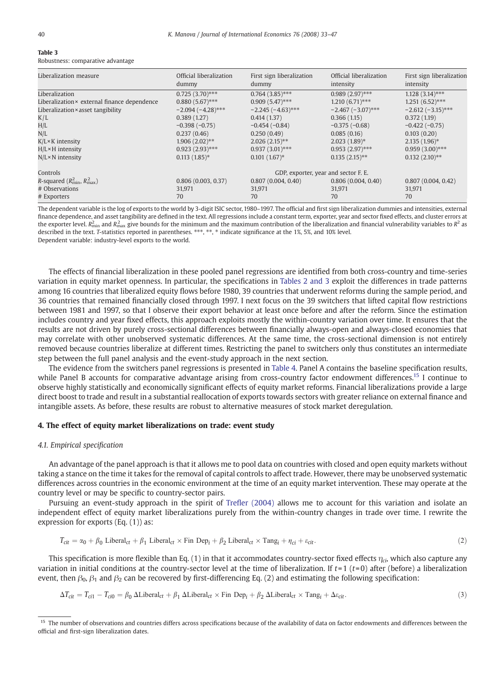<span id="page-7-0"></span>

| Table 3 |                                |  |
|---------|--------------------------------|--|
|         | Debuetaeces comparative advant |  |

| Liberalization measure                            | Official liberalization<br>dummy | First sign liberalization<br>dummy   | Official liberalization<br>intensity | First sign liberalization<br>intensity |
|---------------------------------------------------|----------------------------------|--------------------------------------|--------------------------------------|----------------------------------------|
| Liberalization                                    | $0.725(3.70)$ ***                | $0.764(3.85)$ ***                    | $0.989(2.97)$ ***                    | $1.128(3.14)$ ***                      |
| Liberalization × external finance dependence      | $0.880(5.67)$ ***                | $0.909(5.47)$ ***                    | $1.210(6.71)$ ***                    | $1.251(6.52)$ ***                      |
| Liberalization × asset tangibility                | $-2.094(-4.28)$ ***              | $-2.245$ ( $-4.63$ )***              | $-2.467(-3.07)$ ***                  | $-2.612$ ( $-3.15$ )***                |
| K/L                                               | 0.389(1.27)                      | 0.414(1.37)                          | 0.366(1.15)                          | 0.372(1.19)                            |
| H/L                                               | $-0.398(-0.75)$                  | $-0.454(-0.84)$                      | $-0.375(-0.68)$                      | $-0.422(-0.75)$                        |
| N/L                                               | 0.237(0.46)                      | 0.250(0.49)                          | 0.085(0.16)                          | 0.103(0.20)                            |
| $K/L \times K$ intensity                          | $1.906(2.02)$ **                 | $2.026(2.15)$ **                     | $2.023(1.89)$ *                      | $2.135(1.96)^{*}$                      |
| $H/L \times H$ intensity                          | $0.923(2.93)$ ***                | $0.937(3.01)$ ***                    | $0.953(2.97)$ ***                    | $0.959(3.00)$ ***                      |
| $N/L \times N$ intensity                          | $0.113(1.85)^*$                  | $0.101(1.67)^*$                      | $0.135(2.15)$ **                     | $0.132(2.10)$ **                       |
| Controls                                          |                                  | GDP, exporter, year and sector F. E. |                                      |                                        |
| <i>R</i> -squared ( $R_{\min}^2$ , $R_{\max}^2$ ) | 0.806(0.003, 0.37)               | 0.807(0.004, 0.40)                   | 0.806(0.004, 0.40)                   | 0.807(0.004, 0.42)                     |
| # Observations                                    | 31.971                           | 31.971                               | 31.971                               | 31,971                                 |
| # Exporters                                       | 70                               | 70                                   | 70                                   | 70                                     |

The dependent variable is the log of exports to the world by 3-digit ISIC sector, 1980–1997. The official and first sign liberalization dummies and intensities, external finance dependence, and asset tangibility are defined in the text. All regressions include a constant term, exporter, year and sector fixed effects, and cluster errors at the exporter level.  $R_{\min}^2$  and  $R_{\max}^2$  give bounds for the minimum and the maximum contribution of the liberalization and financial vulnerability variables to  $R^2$  as described in the text. T-statistics reported in parentheses. \*\*\*, \*\*, \* indicate significance at the 1%, 5%, and 10% level.

Dependent variable: industry-level exports to the world.

The effects of financial liberalization in these pooled panel regressions are identified from both cross-country and time-series variation in equity market openness. In particular, the specifications in [Tables 2 and 3](#page-6-0) exploit the differences in trade patterns among 16 countries that liberalized equity flows before 1980, 39 countries that underwent reforms during the sample period, and 36 countries that remained financially closed through 1997. I next focus on the 39 switchers that lifted capital flow restrictions between 1981 and 1997, so that I observe their export behavior at least once before and after the reform. Since the estimation includes country and year fixed effects, this approach exploits mostly the within-country variation over time. It ensures that the results are not driven by purely cross-sectional differences between financially always-open and always-closed economies that may correlate with other unobserved systematic differences. At the same time, the cross-sectional dimension is not entirely removed because countries liberalize at different times. Restricting the panel to switchers only thus constitutes an intermediate step between the full panel analysis and the event-study approach in the next section.

The evidence from the switchers panel regressions is presented in [Table 4](#page-8-0). Panel A contains the baseline specification results, while Panel B accounts for comparative advantage arising from cross-country factor endowment differences.<sup>15</sup> I continue to observe highly statistically and economically significant effects of equity market reforms. Financial liberalizations provide a large direct boost to trade and result in a substantial reallocation of exports towards sectors with greater reliance on external finance and intangible assets. As before, these results are robust to alternative measures of stock market deregulation.

#### 4. The effect of equity market liberalizations on trade: event study

#### 4.1. Empirical specification

An advantage of the panel approach is that it allows me to pool data on countries with closed and open equity markets without taking a stance on the time it takes for the removal of capital controls to affect trade. However, there may be unobserved systematic differences across countries in the economic environment at the time of an equity market intervention. These may operate at the country level or may be specific to country-sector pairs.

Pursuing an event-study approach in the spirit of Trefl[er \(2004\)](#page-14-0) allows me to account for this variation and isolate an independent effect of equity market liberalizations purely from the within-country changes in trade over time. I rewrite the expression for exports (Eq. (1)) as:

$$
T_{\text{cit}} = \alpha_0 + \beta_0 \text{ Liberal}_{\text{ct}} + \beta_1 \text{ Liberal}_{\text{ct}} \times \text{Fin Dep}_i + \beta_2 \text{ Liberal}_{\text{ct}} \times \text{Tang}_i + \eta_{\text{ci}} + \varepsilon_{\text{cit}}.
$$
 (2)

This specification is more flexible than Eq. (1) in that it accommodates country-sector fixed effects  $\eta_{ci}$ , which also capture any variation in initial conditions at the country-sector level at the time of liberalization. If  $t=1$  ( $t=0$ ) after (before) a liberalization event, then  $\beta_0$ ,  $\beta_1$  and  $\beta_2$  can be recovered by first-differencing Eq. (2) and estimating the following specification:

$$
\Delta T_{\text{cit}} = T_{\text{ci1}} - T_{\text{ci0}} = \beta_0 \,\Delta \text{Liberal}_{\text{ct}} + \beta_1 \,\Delta \text{Liberal}_{\text{ct}} \times \text{Fin \, Dep}_i + \beta_2 \,\Delta \text{Liberal}_{\text{ct}} \times \text{Tang}_i + \Delta \varepsilon_{\text{cit}}.
$$
\n
$$
\tag{3}
$$

<sup>&</sup>lt;sup>15</sup> The number of observations and countries differs across specifications because of the availability of data on factor endowments and differences between the official and first-sign liberalization dates.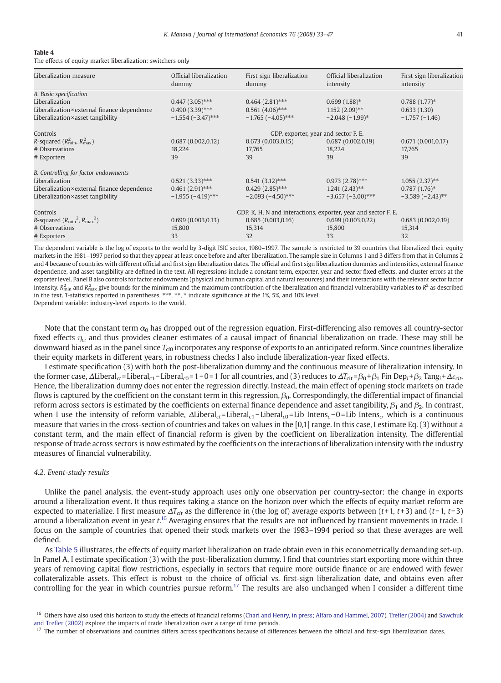<span id="page-8-0"></span>The effects of equity market liberalization: switchers only

| Liberalization measure                            | Official liberalization<br>dummy | First sign liberalization<br>dummy                             | Official liberalization<br>intensity | First sign liberalization<br>intensity |
|---------------------------------------------------|----------------------------------|----------------------------------------------------------------|--------------------------------------|----------------------------------------|
| A. Basic specification                            |                                  |                                                                |                                      |                                        |
| Liberalization                                    | $0.447(3.05)$ ***                | $0.464(2.81)$ ***                                              | $0.699(1.88)$ *                      | $0.788(1.77)*$                         |
| Liberalization × external finance dependence      | $0.490(3.39)$ ***                | $0.561(4.06)$ ***                                              | $1.152(2.09)$ **                     | 0.633(1.30)                            |
| Liberalization × asset tangibility                | $-1.554(-3.47)$ ***              | $-1.765(-4.05)$ ***                                            | $-2.048(-1.99)$ *                    | $-1.757(-1.46)$                        |
| Controls                                          |                                  | GDP, exporter, year and sector F. E.                           |                                      |                                        |
| <i>R</i> -squared ( $R_{\min}^2$ , $R_{\max}^2$ ) | 0.687(0.002, 0.12)               | 0.673(0.003, 0.15)                                             | 0.687(0.002,0.19)                    | 0.671(0.001, 0.17)                     |
| # Observations                                    | 18,224                           | 17.765                                                         | 18,224                               | 17,765                                 |
| # Exporters                                       | 39                               | 39                                                             | 39                                   | 39                                     |
| B. Controlling for factor endowments              |                                  |                                                                |                                      |                                        |
| Liberalization                                    | $0.521(3.33)$ ***                | $0.541(3.12)$ ***                                              | $0.973(2.78)$ ***                    | $1.055(2.37)$ **                       |
| Liberalization × external finance dependence      | $0.461(2.91)$ ***                | $0.429(2.85)$ ***                                              | $1.241(2.43)$ **                     | $0.787(1.76)*$                         |
| Liberalization × asset tangibility                | $-1.955(-4.19)$ ***              | $-2.093(-4.50)$ ***                                            | $-3.657$ ( $-3.00$ )***              | $-3.589(-2.43)$ **                     |
| Controls                                          |                                  | GDP, K, H, N and interactions, exporter, year and sector F. E. |                                      |                                        |
| R-squared $(R_{\text{min}}^2, R_{\text{max}}^2)$  | 0.699(0.003, 0.13)               | 0.685(0.003,0.16)                                              | 0.699(0.003, 0.22)                   | 0.683(0.002, 0.19)                     |
| # Observations                                    | 15,800                           | 15,314                                                         | 15,800                               | 15,314                                 |
| # Exporters                                       | 33                               | 32                                                             | 33                                   | 32                                     |

The dependent variable is the log of exports to the world by 3-digit ISIC sector, 1980–1997. The sample is restricted to 39 countries that liberalized their equity markets in the 1981–1997 period so that they appear at least once before and after liberalization. The sample size in Columns 1 and 3 differs from that in Columns 2 and 4 because of countries with different official and first sign liberalization dates. The official and first sign liberalization dummies and intensities, external finance dependence, and asset tangibility are defined in the text. All regressions include a constant term, exporter, year and sector fixed effects, and cluster errors at the exporter level. Panel B also controls for factor endowments (physical and human capital and natural resources) and their interactions with the relevant sector factor intensity.  $R_{\min}^2$  and  $R_{\max}^2$  give bounds for the minimum and the maximum contribution of the liberalization and financial vulnerability variables to  $R^2$  as described in the text. T-statistics reported in parentheses. \*\*\*, \*\*, \* indicate significance at the 1%, 5%, and 10% level. Dependent variable: industry-level exports to the world.

Note that the constant term  $\alpha_0$  has dropped out of the regression equation. First-differencing also removes all country-sector fixed effects  $\eta_{ci}$  and thus provides cleaner estimates of a causal impact of financial liberalization on trade. These may still be downward biased as in the panel since  $T_{\text{ci}}$  incorporates any response of exports to an anticipated reform. Since countries liberalize their equity markets in different years, in robustness checks I also include liberalization-year fixed effects.

I estimate specification (3) with both the post-liberalization dummy and the continuous measure of liberalization intensity. In the former case,  $\Delta$ Liberal<sub>ct</sub>=Liberal<sub>c1</sub> – Liberal<sub>c0</sub> = 1 – 0 = 1 for all countries, and (3) reduces to  $\Delta T_{\text{cir}} = \beta_0 + \beta_1$  Fin Dep<sub>i</sub>+ $\beta_2$  Tang<sub>i</sub>+ $\Delta \varepsilon_{\text{cir}}$ . Hence, the liberalization dummy does not enter the regression directly. Instead, the main effect of opening stock markets on trade flows is captured by the coefficient on the constant term in this regression,  $\beta_0$ . Correspondingly, the differential impact of financial reform across sectors is estimated by the coefficients on external finance dependence and asset tangibility,  $B_1$  and  $B_2$ . In contrast, when I use the intensity of reform variable,  $ΔLiberal<sub>ct</sub> = Liberal<sub>ct</sub> –Liberal<sub>c0</sub> = Lib Intens<sub>c</sub> − 0 = Lib Intens<sub>c</sub> which is a continuous$ measure that varies in the cross-section of countries and takes on values in the [0,1] range. In this case, I estimate Eq. (3) without a constant term, and the main effect of financial reform is given by the coefficient on liberalization intensity. The differential response of trade across sectors is now estimated by the coefficients on the interactions of liberalization intensity with the industry measures of financial vulnerability.

#### 4.2. Event-study results

Unlike the panel analysis, the event-study approach uses only one observation per country-sector: the change in exports around a liberalization event. It thus requires taking a stance on the horizon over which the effects of equity market reform are expected to materialize. I first measure  $\Delta T_{cit}$  as the difference in (the log of) average exports between (t+1, t+3) and (t-1, t-3) around a liberalization event in year t.<sup>16</sup> Averaging ensures that the results are not influenced by transient movements in trade. I focus on the sample of countries that opened their stock markets over the 1983–1994 period so that these averages are well defined.

As [Table 5](#page-9-0) illustrates, the effects of equity market liberalization on trade obtain even in this econometrically demanding set-up. In Panel A, I estimate specification (3) with the post-liberalization dummy. I find that countries start exporting more within three years of removing capital flow restrictions, especially in sectors that require more outside finance or are endowed with fewer collateralizable assets. This effect is robust to the choice of official vs. first-sign liberalization date, and obtains even after controlling for the year in which countries pursue reform.<sup>17</sup> The results are also unchanged when I consider a different time

<sup>&</sup>lt;sup>16</sup> Others have also used this horizon to study the effects of financial reforms (Chari and Henry, in press: Alfaro and Hammel, 2007). Trefl[er \(2004\)](#page-14-0) and [Sawchuk](#page-14-0)

and Trefl[er \(2002\)](#page-14-0) explore the impacts of trade liberalization over a range of time periods.

<sup>&</sup>lt;sup>17</sup> The number of observations and countries differs across specifications because of differences between the official and first-sign liberalization dates.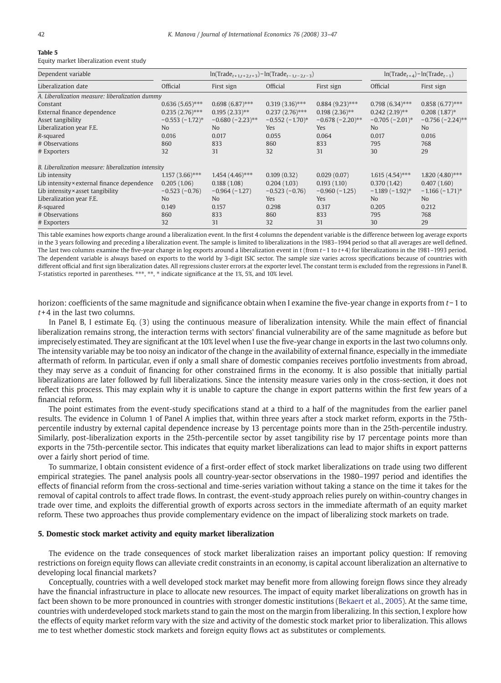<span id="page-9-0"></span>Equity market liberalization event study

| Dependent variable                                  |                   | $ln(Trade_{t+1,t+2,t+3})-ln(Trade_{t-1,t-2,t-3})$ | $ln(Trade_{t+4})-ln(Trade_{t-1})$ |                    |                     |                        |
|-----------------------------------------------------|-------------------|---------------------------------------------------|-----------------------------------|--------------------|---------------------|------------------------|
| Liberalization date                                 | <b>Official</b>   | First sign                                        | Official                          | First sign         | Official            | First sign             |
| A. Liberalization measure: liberalization dummy     |                   |                                                   |                                   |                    |                     |                        |
| Constant                                            | $0.636(5.65)$ *** | $0.698(6.87)$ ***                                 | $0.319(3.16)$ ***                 | $0.884(9.23)$ ***  | $0.798(6.34)$ ***   | $0.858(6.77)$ ***      |
| External finance dependence                         | $0.235(2.76)$ *** | $0.195(2.33)$ **                                  | $0.237(2.76)$ ***                 | $0.198(2.36)$ **   | $0.242(2.19)$ **    | $0.208(1.87)*$         |
| Asset tangibility                                   | $-0.553(-1.72)$ * | $-0.680$ (-2.23)**                                | $-0.552$ $(-1.70)$ *              | $-0.678(-2.20)$ ** | $-0.705(-2.01)^{*}$ | $-0.756$ ( $-2.24$ )** |
| Liberalization year F.E.                            | N <sub>o</sub>    | N <sub>0</sub>                                    | Yes                               | Yes                | N <sub>o</sub>      | N <sub>0</sub>         |
| R-squared                                           | 0.016             | 0.017                                             | 0.055                             | 0.064              | 0.017               | 0.016                  |
| # Observations                                      | 860               | 833                                               | 860                               | 833                | 795                 | 768                    |
| # Exporters                                         | 32                | 31                                                | 32                                | 31                 | 30                  | 29                     |
| B. Liberalization measure: liberalization intensity |                   |                                                   |                                   |                    |                     |                        |
| Lib intensity                                       | $1.157(3.66)$ *** | $1.454(4.46)$ ***                                 | 0.109(0.32)                       | 0.029(0.07)        | $1.615(4.54)$ ***   | $1.820(4.80)$ ***      |
| Lib intensity × external finance dependence         | 0.205(1.06)       | 0.188(1.08)                                       | 0.204(1.03)                       | 0.193(1.10)        | 0.370(1.42)         | 0.407(1.60)            |
| Lib intensity × asset tangibility                   | $-0.523(-0.76)$   | $-0.964(-1.27)$                                   | $-0.523(-0.76)$                   | $-0.960(-1.25)$    | $-1.189(-1.92)$ *   | $-1.166(-1.71)^{*}$    |
| Liberalization year F.E.                            | N <sub>o</sub>    | N <sub>o</sub>                                    | Yes                               | Yes                | N <sub>o</sub>      | N <sub>o</sub>         |
| R-squared                                           | 0.149             | 0.157                                             | 0.298                             | 0.317              | 0.205               | 0.212                  |
| # Observations                                      | 860               | 833                                               | 860                               | 833                | 795                 | 768                    |
| # Exporters                                         | 32                | 31                                                | 32                                | 31                 | 30                  | 29                     |

This table examines how exports change around a liberalization event. In the first 4 columns the dependent variable is the difference between log average exports in the 3 years following and preceding a liberalization event. The sample is limited to liberalizations in the 1983–1994 period so that all averages are well defined. The last two columns examine the five-year change in log exports around a liberalization event in t (from t –1 to t + 4) for liberalizations in the 1981–1993 period. The dependent variable is always based on exports to the world by 3-digit ISIC sector. The sample size varies across specifications because of countries with different official and first sign liberalization dates. All regressions cluster errors at the exporter level. The constant term is excluded from the regressions in Panel B. T-statistics reported in parentheses. \*\*\*, \*\*, \* indicate significance at the 1%, 5%, and 10% level.

horizon: coefficients of the same magnitude and significance obtain when I examine the five-year change in exports from t−1 to  $t+4$  in the last two columns.

In Panel B, I estimate Eq. (3) using the continuous measure of liberalization intensity. While the main effect of financial liberalization remains strong, the interaction terms with sectors' financial vulnerability are of the same magnitude as before but imprecisely estimated. They are significant at the 10% level when I use the five-year change in exports in the last two columns only. The intensity variable may be too noisy an indicator of the change in the availability of external finance, especially in the immediate aftermath of reform. In particular, even if only a small share of domestic companies receives portfolio investments from abroad, they may serve as a conduit of financing for other constrained firms in the economy. It is also possible that initially partial liberalizations are later followed by full liberalizations. Since the intensity measure varies only in the cross-section, it does not reflect this process. This may explain why it is unable to capture the change in export patterns within the first few years of a financial reform.

The point estimates from the event-study specifications stand at a third to a half of the magnitudes from the earlier panel results. The evidence in Column 1 of Panel A implies that, within three years after a stock market reform, exports in the 75thpercentile industry by external capital dependence increase by 13 percentage points more than in the 25th-percentile industry. Similarly, post-liberalization exports in the 25th-percentile sector by asset tangibility rise by 17 percentage points more than exports in the 75th-percentile sector. This indicates that equity market liberalizations can lead to major shifts in export patterns over a fairly short period of time.

To summarize, I obtain consistent evidence of a first-order effect of stock market liberalizations on trade using two different empirical strategies. The panel analysis pools all country-year-sector observations in the 1980–1997 period and identifies the effects of financial reform from the cross-sectional and time-series variation without taking a stance on the time it takes for the removal of capital controls to affect trade flows. In contrast, the event-study approach relies purely on within-country changes in trade over time, and exploits the differential growth of exports across sectors in the immediate aftermath of an equity market reform. These two approaches thus provide complementary evidence on the impact of liberalizing stock markets on trade.

#### 5. Domestic stock market activity and equity market liberalization

The evidence on the trade consequences of stock market liberalization raises an important policy question: If removing restrictions on foreign equity flows can alleviate credit constraints in an economy, is capital account liberalization an alternative to developing local financial markets?

Conceptually, countries with a well developed stock market may benefit more from allowing foreign flows since they already have the financial infrastructure in place to allocate new resources. The impact of equity market liberalizations on growth has in fact been shown to be more pronounced in countries with stronger domestic institutions ([Bekaert et al., 2005](#page-13-0)). At the same time, countries with underdeveloped stock markets stand to gain the most on the margin from liberalizing. In this section, I explore how the effects of equity market reform vary with the size and activity of the domestic stock market prior to liberalization. This allows me to test whether domestic stock markets and foreign equity flows act as substitutes or complements.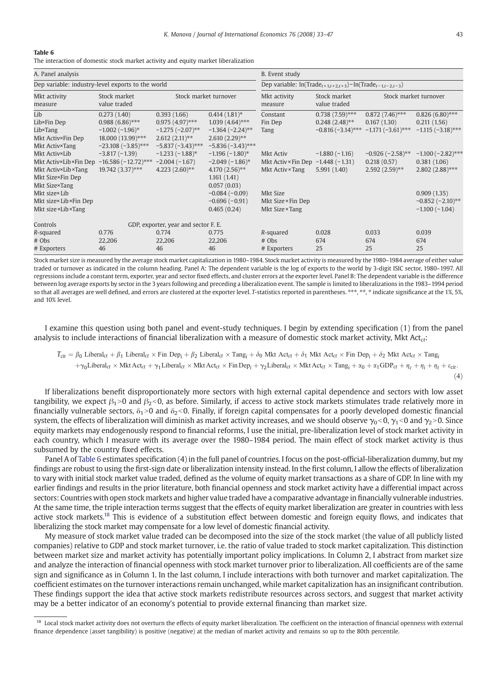The interaction of domestic stock market activity and equity market liberalization

| A. Panel analysis                                                                                                   |                                                                                          |                                                                                 |                                                                                                                 | B. Event study                                                                 |                                                              |                                                         |                                                             |  |
|---------------------------------------------------------------------------------------------------------------------|------------------------------------------------------------------------------------------|---------------------------------------------------------------------------------|-----------------------------------------------------------------------------------------------------------------|--------------------------------------------------------------------------------|--------------------------------------------------------------|---------------------------------------------------------|-------------------------------------------------------------|--|
| Dep variable: industry-level exports to the world                                                                   |                                                                                          |                                                                                 |                                                                                                                 | Dep variable: $ln(Trade_{t+1,t+2,t+3}) - ln(Trade_{t-1,t-2,t-3})$              |                                                              |                                                         |                                                             |  |
| Mkt activity<br>measure                                                                                             | Stock market<br>value traded                                                             |                                                                                 | Stock market turnover                                                                                           | Mkt activity<br>measure                                                        | Stock market<br>value traded                                 | Stock market turnover                                   |                                                             |  |
| Lib<br>Lib×Fin Dep<br>Lib×Tang<br>Mkt Activ×Fin Dep                                                                 | 0.273(1.40)<br>$0.988(6.86)$ ***<br>$-1.002(-1.96)$ *<br>18,000 (13,99)***               | 0.393(1.66)<br>$0.975(4.97)$ ***<br>$-1.275$ ( $-2.07$ )**<br>$2.612(2.11)$ **  | $0.414(1.81)$ *<br>$1.039(4.64)$ ***<br>$-1.364(-2.24)$ **<br>$2.610(2.29)$ **                                  | Constant<br>Fin Dep<br><b>Tang</b>                                             | $0.738(7.59)$ ***<br>$0.248(2.48)$ **<br>$-0.816(-3.14)$ *** | $0.872(7.46)$ ***<br>0.167(1.30)<br>$-1.171(-3.61)$ *** | $0.826(6.80)$ ***<br>0.211(1.56)<br>$-1.115$ ( $-3.18$ )*** |  |
| Mkt Activ×Tang<br>Mkt Activ×Lib<br>Mkt Activ×Lib×Fin Dep<br>Mkt Activ×Lib×Tang<br>Mkt Size×Fin Dep<br>Mkt Size×Tang | $-23.108$ ( $-3.85$ )***<br>$-3.817(-1.39)$<br>$-16.586(-12.72)$ ***<br>19.742 (3.37)*** | $-5.837(-3.43)$ ***<br>$-1.233(-1.88)$ *<br>$-2.004(-1.67)$<br>$4.223(2.60)$ ** | $-5.836(-3.43)$ ***<br>$-1.196(-1.80)$ *<br>$-2.049(-1.86)$ *<br>$4.170(2.56)$ **<br>1.161(1.41)<br>0.057(0.03) | <b>Mkt Activ</b><br>Mkt Activ×Fin Dep $-1.448$ ( $-1.31$ )<br>Mkt Activ × Tang | $-1.880(-1.16)$<br>5.991(1.40)                               | $-0.926(-2.58)$ **<br>0.218(0.57)<br>$2.592(2.59)$ **   | $-1.100(-2.82)$ ***<br>0.381(1.06)<br>$2.802(2.88)$ ***     |  |
| Mkt size×Lib<br>Mkt size×Lib×Fin Dep<br>Mkt size × Lib × Tang                                                       |                                                                                          |                                                                                 | $-0.084(-0.09)$<br>$-0.696(-0.91)$<br>0.465(0.24)                                                               | Mkt Size<br>Mkt Size × Fin Dep<br>Mkt Size × Tang                              |                                                              |                                                         | 0.909(1.35)<br>$-0.852$ ( $-2.10$ )**<br>$-1,100(-1.04)$    |  |
| Controls                                                                                                            |                                                                                          | GDP, exporter, year and sector F. E.                                            |                                                                                                                 |                                                                                |                                                              |                                                         |                                                             |  |
| R-squared<br>$#$ Obs<br># Exporters                                                                                 | 0.776<br>22,206<br>46                                                                    | 0.774<br>22,206<br>46                                                           | 0.775<br>22,206<br>46                                                                                           | R-squared<br>$#$ Obs<br># Exporters                                            | 0.028<br>674<br>25                                           | 0.033<br>674<br>25                                      | 0.039<br>674<br>25                                          |  |

Stock market size is measured by the average stock market capitalization in 1980–1984. Stock market activity is measured by the 1980–1984 average of either value traded or turnover as indicated in the column heading. Panel A: The dependent variable is the log of exports to the world by 3-digit ISIC sector, 1980–1997. All regressions include a constant term, exporter, year and sector fixed effects, and cluster errors at the exporter level. Panel B: The dependent variable is the difference between log average exports by sector in the 3 years following and preceding a liberalization event. The sample is limited to liberalizations in the 1983–1994 period so that all averages are well defined, and errors are clustered at the exporter level. T-statistics reported in parentheses. \*\*\*, \*\*, \*\* indicate significance at the 1%, 5%, and 10% level.

I examine this question using both panel and event-study techniques. I begin by extending specification (1) from the panel analysis to include interactions of financial liberalization with a measure of domestic stock market activity, Mkt Act $_{ct}$ :

$$
T_{cit} = \beta_0 \text{ Liberal}_{ct} + \beta_1 \text{ Liberal}_{ct} \times \text{Fin Dep}_i + \beta_2 \text{ Liberal}_{ct} \times \text{Tang}_i + \delta_0 \text{Mkt Act}_{ct} + \delta_1 \text{Mkt Act}_{ct} \times \text{Fin Dep}_i + \delta_2 \text{Mkt Act}_{ct} \times \text{Tang}_i
$$
  
+ $\gamma_0 \text{Liberal}_{ct} \times \text{Mkt Act}_{ct} + \gamma_1 \text{Liberal}_{ct} \times \text{Mkt Act}_{ct} \times \text{Fin Dep}_i + \gamma_2 \text{Liberal}_{ct} \times \text{Mkt Act}_{ct} \times \text{Tang}_i + \alpha_0 + \alpha_1 \text{GDP}_{ct} + \eta_c + \eta_i + \eta_t + \varepsilon_{cit}$ 

 $(4)$ 

If liberalizations benefit disproportionately more sectors with high external capital dependence and sectors with low asset tangibility, we expect  $\beta_1 > 0$  and  $\beta_2 < 0$ , as before. Similarly, if access to active stock markets stimulates trade relatively more in financially vulnerable sectors,  $\delta_1 > 0$  and  $\delta_2 < 0$ . Finally, if foreign capital compensates for a poorly developed domestic financial system, the effects of liberalization will diminish as market activity increases, and we should observe  $\gamma_0 < 0$ ,  $\gamma_1 < 0$  and  $\gamma_2 > 0$ . Since equity markets may endogenously respond to financial reforms, I use the initial, pre-liberalization level of stock market activity in each country, which I measure with its average over the 1980–1984 period. The main effect of stock market activity is thus subsumed by the country fixed effects.

Panel A of Table 6 estimates specification (4) in the full panel of countries. I focus on the post-official-liberalization dummy, but my findings are robust to using the first-sign date or liberalization intensity instead. In the first column, I allow the effects of liberalization to vary with initial stock market value traded, defined as the volume of equity market transactions as a share of GDP. In line with my earlier findings and results in the prior literature, both financial openness and stock market activity have a differential impact across sectors: Countries with open stock markets and higher value traded have a comparative advantage in financially vulnerable industries. At the same time, the triple interaction terms suggest that the effects of equity market liberalization are greater in countries with less active stock markets.<sup>18</sup> This is evidence of a substitution effect between domestic and foreign equity flows, and indicates that liberalizing the stock market may compensate for a low level of domestic financial activity.

My measure of stock market value traded can be decomposed into the size of the stock market (the value of all publicly listed companies) relative to GDP and stock market turnover, i.e. the ratio of value traded to stock market capitalization. This distinction between market size and market activity has potentially important policy implications. In Column 2, I abstract from market size and analyze the interaction of financial openness with stock market turnover prior to liberalization. All coefficients are of the same sign and significance as in Column 1. In the last column, I include interactions with both turnover and market capitalization. The coefficient estimates on the turnover interactions remain unchanged, while market capitalization has an insignificant contribution. These findings support the idea that active stock markets redistribute resources across sectors, and suggest that market activity may be a better indicator of an economy's potential to provide external financing than market size.

<sup>&</sup>lt;sup>18</sup> Local stock market activity does not overturn the effects of equity market liberalization. The coefficient on the interaction of financial openness with external finance dependence (asset tangibility) is positive (negative) at the median of market activity and remains so up to the 80th percentile.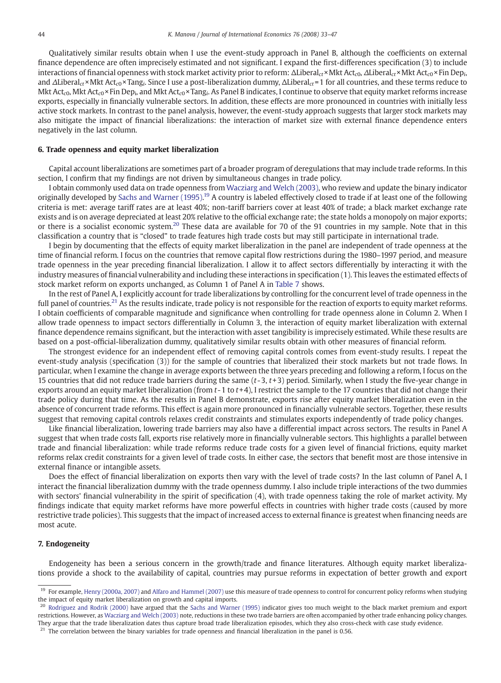Qualitatively similar results obtain when I use the event-study approach in Panel B, although the coefficients on external finance dependence are often imprecisely estimated and not significant. I expand the first-differences specification (3) to include interactions of financial openness with stock market activity prior to reform:  $\Delta$ Liberal<sub>ct</sub>×Mkt Act<sub>c0</sub>,  $\Delta$ Liberal<sub>ct</sub>×Mkt Act<sub>c0</sub> × Fin Dep<sub>i</sub>, and  $\Delta$ Liberal<sub>ct</sub>×Mkt Act<sub>c0</sub> × Tang<sub>i</sub>. Since I use a post-liberalization dummy,  $\Delta$ Liberal<sub>ct</sub>= 1 for all countries, and these terms reduce to Mkt Act<sub>c0</sub>, Mkt Act<sub>c0</sub> × Fin Dep<sub>i</sub>, and Mkt Act<sub>c0</sub> × Tang<sub>i</sub>. As Panel B indicates, I continue to observe that equity market reforms increase exports, especially in financially vulnerable sectors. In addition, these effects are more pronounced in countries with initially less active stock markets. In contrast to the panel analysis, however, the event-study approach suggests that larger stock markets may also mitigate the impact of financial liberalizations: the interaction of market size with external finance dependence enters negatively in the last column.

#### 6. Trade openness and equity market liberalization

Capital account liberalizations are sometimes part of a broader program of deregulations that may include trade reforms. In this section, I confirm that my findings are not driven by simultaneous changes in trade policy.

I obtain commonly used data on trade openness from [Wacziarg and Welch \(2003\),](#page-14-0) who review and update the binary indicator originally developed by [Sachs and Warner \(1995\).](#page-14-0)<sup>19</sup> A country is labeled effectively closed to trade if at least one of the following criteria is met: average tariff rates are at least 40%; non-tariff barriers cover at least 40% of trade; a black market exchange rate exists and is on average depreciated at least 20% relative to the official exchange rate; the state holds a monopoly on major exports; or there is a socialist economic system.<sup>20</sup> These data are available for 70 of the 91 countries in my sample. Note that in this classification a country that is "closed" to trade features high trade costs but may still participate in international trade.

I begin by documenting that the effects of equity market liberalization in the panel are independent of trade openness at the time of financial reform. I focus on the countries that remove capital flow restrictions during the 1980–1997 period, and measure trade openness in the year preceding financial liberalization. I allow it to affect sectors differentially by interacting it with the industry measures of financial vulnerability and including these interactions in specification (1). This leaves the estimated effects of stock market reform on exports unchanged, as Column 1 of Panel A in [Table 7](#page-12-0) shows.

In the rest of Panel A, I explicitly account for trade liberalizations by controlling for the concurrent level of trade openness in the full panel of countries.<sup>21</sup> As the results indicate, trade policy is not responsible for the reaction of exports to equity market reforms. I obtain coefficients of comparable magnitude and significance when controlling for trade openness alone in Column 2. When I allow trade openness to impact sectors differentially in Column 3, the interaction of equity market liberalization with external finance dependence remains significant, but the interaction with asset tangibility is imprecisely estimated. While these results are based on a post-official-liberalization dummy, qualitatively similar results obtain with other measures of financial reform.

The strongest evidence for an independent effect of removing capital controls comes from event-study results. I repeat the event-study analysis (specification (3)) for the sample of countries that liberalized their stock markets but not trade flows. In particular, when I examine the change in average exports between the three years preceding and following a reform, I focus on the 15 countries that did not reduce trade barriers during the same  $(t-3, t+3)$  period. Similarly, when I study the five-year change in exports around an equity market liberalization (from  $t-1$  to  $t+4$ ), I restrict the sample to the 17 countries that did not change their trade policy during that time. As the results in Panel B demonstrate, exports rise after equity market liberalization even in the absence of concurrent trade reforms. This effect is again more pronounced in financially vulnerable sectors. Together, these results suggest that removing capital controls relaxes credit constraints and stimulates exports independently of trade policy changes.

Like financial liberalization, lowering trade barriers may also have a differential impact across sectors. The results in Panel A suggest that when trade costs fall, exports rise relatively more in financially vulnerable sectors. This highlights a parallel between trade and financial liberalization: while trade reforms reduce trade costs for a given level of financial frictions, equity market reforms relax credit constraints for a given level of trade costs. In either case, the sectors that benefit most are those intensive in external finance or intangible assets.

Does the effect of financial liberalization on exports then vary with the level of trade costs? In the last column of Panel A, I interact the financial liberalization dummy with the trade openness dummy. I also include triple interactions of the two dummies with sectors' financial vulnerability in the spirit of specification (4), with trade openness taking the role of market activity. My findings indicate that equity market reforms have more powerful effects in countries with higher trade costs (caused by more restrictive trade policies). This suggests that the impact of increased access to external finance is greatest when financing needs are most acute.

#### 7. Endogeneity

Endogeneity has been a serious concern in the growth/trade and finance literatures. Although equity market liberalizations provide a shock to the availability of capital, countries may pursue reforms in expectation of better growth and export

<sup>&</sup>lt;sup>19</sup> For example, [Henry \(2000a, 2007\)](#page-14-0) and [Alfaro and Hammel \(2007\)](#page-13-0) use this measure of trade openness to control for concurrent policy reforms when studying the impact of equity market liberalization on growth and capital imports.

<sup>&</sup>lt;sup>20</sup> [Rodriguez and Rodrik \(2000\)](#page-14-0) have argued that the [Sachs and Warner \(1995\)](#page-14-0) indicator gives too much weight to the black market premium and export restrictions. However, as [Wacziarg and Welch \(2003\)](#page-14-0) note, reductions in these two trade barriers are often accompanied by other trade enhancing policy changes. They argue that the trade liberalization dates thus capture broad trade liberalization episodes, which they also cross-check with case study evidence.

 $21$  The correlation between the binary variables for trade openness and financial liberalization in the panel is 0.56.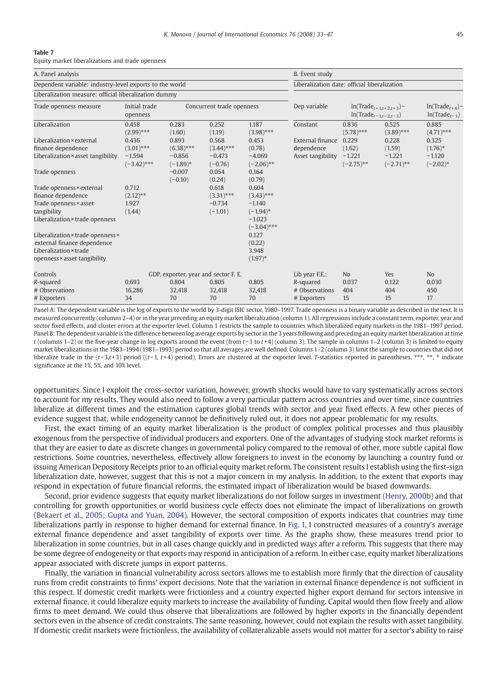<span id="page-12-0"></span>Equity market liberalizations and trade openness

| A. Panel analysis                                                                                                                                                                               |                                                            |                                                      |                                                      |                                                                                                  | B. Event study                                                  |                                                          |                                                      |                                                            |
|-------------------------------------------------------------------------------------------------------------------------------------------------------------------------------------------------|------------------------------------------------------------|------------------------------------------------------|------------------------------------------------------|--------------------------------------------------------------------------------------------------|-----------------------------------------------------------------|----------------------------------------------------------|------------------------------------------------------|------------------------------------------------------------|
| Dependent variable: industry-level exports to the world                                                                                                                                         |                                                            |                                                      |                                                      |                                                                                                  | Liberalization date: official liberalization                    |                                                          |                                                      |                                                            |
| Liberalization measure: official liberalization dummy                                                                                                                                           |                                                            |                                                      |                                                      |                                                                                                  |                                                                 |                                                          |                                                      |                                                            |
| Trade openness measure                                                                                                                                                                          | Initial trade<br>openness                                  |                                                      | Concurrent trade openness                            |                                                                                                  | Dep variable                                                    | $ln(Trade_{t+1,t+2,t+3})$ -<br>$ln(Trade_{t-1,t-2,t-3})$ |                                                      | $ln(Trade_{t+4})$ -<br>$ln(Trade_{t-1})$                   |
| Liberalization<br>Liberalization × external<br>finance dependence<br>Liberalization × asset tangibility                                                                                         | 0.458<br>$(2.99)$ ***<br>0.436<br>$(3.01)$ ***<br>$-1.594$ | 0.283<br>(1.60)<br>0.893<br>$(6.38)$ ***<br>$-0.856$ | 0.252<br>(1.19)<br>0.568<br>$(3.44)$ ***<br>$-0.473$ | 1.187<br>$(3.98)$ ***<br>0.453<br>(0.78)<br>$-4.069$                                             | Constant<br>External finance<br>dependence<br>Asset tangibility | 0.836<br>$(5.78)$ ***<br>0.229<br>(1.62)<br>$-1.221$     | 0.525<br>$(3.89)$ ***<br>0.228<br>(1.59)<br>$-1.221$ | 0.885<br>$(4.71)$ ***<br>0.325<br>$(1.76)^{*}$<br>$-1.120$ |
| Trade openness                                                                                                                                                                                  | $(-3.42)$ ***                                              | $(-1.89)$ *<br>$-0.007$<br>$(-0.10)$                 | $(-0.76)$<br>0.054<br>(0.24)                         | $(-2.06)$ **<br>0.164<br>(0.79)                                                                  |                                                                 | $(-2.75)$ **                                             | $(-2.71)$ **                                         | $(-2.02)^*$                                                |
| Trade openness × external<br>finance dependence<br>Trade openness × asset<br>tangibility<br>Liberalization × trade openness<br>Liberalization × trade openness ×<br>external finance dependence | 0.712<br>$(2.12)$ **<br>1.927<br>(1.44)                    |                                                      | 0.618<br>$(3.31)$ ***<br>$-0.734$<br>$(-1.01)$       | 0.604<br>$(3.43)$ ***<br>$-1.140$<br>$(-1.94)$ *<br>$-1.023$<br>$(-3.04)$ ***<br>0.127<br>(0.22) |                                                                 |                                                          |                                                      |                                                            |
| Liberalization × trade<br>openness × asset tangibility<br>Controls                                                                                                                              |                                                            | GDP, exporter, year and sector F. E.                 |                                                      | 3.948<br>$(1.97)^{*}$                                                                            | Lib year F.E.:                                                  | N <sub>o</sub>                                           | Yes                                                  | N <sub>o</sub>                                             |
| R-squared<br># Observations<br># Exporters                                                                                                                                                      | 0.693<br>16,286<br>34                                      | 0.804<br>32,418<br>70                                | 0.805<br>32,418<br>70                                | 0.805<br>32,418<br>70                                                                            | R-squared<br># Observations<br># Exporters                      | 0.037<br>404<br>15                                       | 0.122<br>404<br>15                                   | 0.030<br>450<br>17                                         |

Panel A: The dependent variable is the log of exports to the world by 3-digit ISIC sector, 1980–1997. Trade openness is a binary variable as described in the text. It is measured concurrently (columns 2–4) or in the year preceding an equity market liberalization (column 1). All regressions include a constant term, exporter, year and sector fixed effects, and cluster errors at the exporter level. Column 1 restricts the sample to countries which liberalized equity markets in the 1981–1997 period. Panel B: The dependent variable is the difference between log average exports by sector in the 3 years following and preceding an equity market liberalization at time t (columns 1–2) or the five-year change in log exports around the event (from t-1 to t+4) (column 3). The sample in columns 1–2 (column 3) is limited to equity market liberalizations in the 1983–1994 (1981–1993) period so that all averages are well defined. Columns 1–2 (column 3) limit the sample to countries that did not liberalize trade in the (t-3,t+3) period ((t-1, t+4) period). Errors are clustered at the exporter level. T-statistics reported in parentheses. \*\*\*, \*\*, \*\* indicate significance at the 1%, 5%, and 10% level.

opportunities. Since I exploit the cross-sector variation, however, growth shocks would have to vary systematically across sectors to account for my results. They would also need to follow a very particular pattern across countries and over time, since countries liberalize at different times and the estimation captures global trends with sector and year fixed effects. A few other pieces of evidence suggest that, while endogeneity cannot be definitively ruled out, it does not appear problematic for my results.

First, the exact timing of an equity market liberalization is the product of complex political processes and thus plausibly exogenous from the perspective of individual producers and exporters. One of the advantages of studying stock market reforms is that they are easier to date as discrete changes in governmental policy compared to the removal of other, more subtle capital flow restrictions. Some countries, nevertheless, effectively allow foreigners to invest in the economy by launching a country fund or issuing American Depository Receipts prior to an official equity market reform. The consistent results I establish using the first-sign liberalization date, however, suggest that this is not a major concern in my analysis. In addition, to the extent that exports may respond in expectation of future financial reforms, the estimated impact of liberalization would be biased downwards.

Second, prior evidence suggests that equity market liberalizations do not follow surges in investment ([Henry, 2000b\)](#page-14-0) and that controlling for growth opportunities or world business cycle effects does not eliminate the impact of liberalizations on growth ([Bekaert et al., 2005; Gupta and Yuan, 2004\)](#page-13-0). However, the sectoral composition of exports indicates that countries may time liberalizations partly in response to higher demand for external finance. In [Fig. 1,](#page-4-0) I constructed measures of a country's average external finance dependence and asset tangibility of exports over time. As the graphs show, these measures trend prior to liberalization in some countries, but in all cases change quickly and in predicted ways after a reform. This suggests that there may be some degree of endogeneity or that exports may respond in anticipation of a reform. In either case, equity market liberalizations appear associated with discrete jumps in export patterns.

Finally, the variation in financial vulnerability across sectors allows me to establish more firmly that the direction of causality runs from credit constraints to firms' export decisions. Note that the variation in external finance dependence is not sufficient in this respect. If domestic credit markets were frictionless and a country expected higher export demand for sectors intensive in external finance, it could liberalize equity markets to increase the availability of funding. Capital would then flow freely and allow firms to meet demand. We could thus observe that liberalizations are followed by higher exports in the financially dependent sectors even in the absence of credit constraints. The same reasoning, however, could not explain the results with asset tangibility. If domestic credit markets were frictionless, the availability of collateralizable assets would not matter for a sector's ability to raise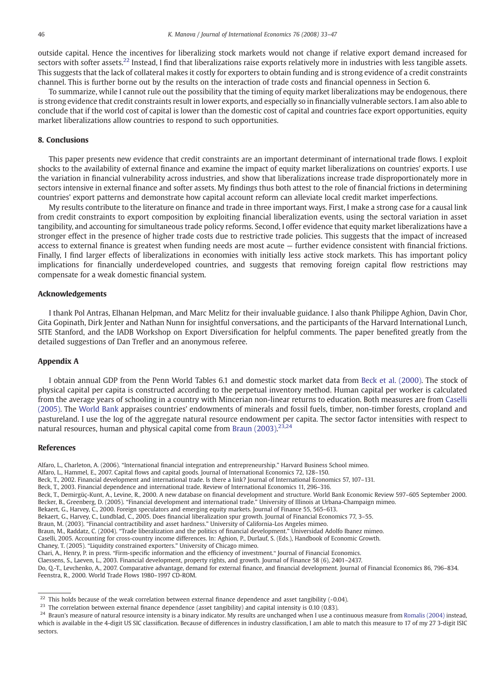<span id="page-13-0"></span>outside capital. Hence the incentives for liberalizing stock markets would not change if relative export demand increased for sectors with softer assets.<sup>22</sup> Instead, I find that liberalizations raise exports relatively more in industries with less tangible assets. This suggests that the lack of collateral makes it costly for exporters to obtain funding and is strong evidence of a credit constraints channel. This is further borne out by the results on the interaction of trade costs and financial openness in Section 6.

To summarize, while I cannot rule out the possibility that the timing of equity market liberalizations may be endogenous, there is strong evidence that credit constraints result in lower exports, and especially so in financially vulnerable sectors. I am also able to conclude that if the world cost of capital is lower than the domestic cost of capital and countries face export opportunities, equity market liberalizations allow countries to respond to such opportunities.

#### 8. Conclusions

This paper presents new evidence that credit constraints are an important determinant of international trade flows. I exploit shocks to the availability of external finance and examine the impact of equity market liberalizations on countries' exports. I use the variation in financial vulnerability across industries, and show that liberalizations increase trade disproportionately more in sectors intensive in external finance and softer assets. My findings thus both attest to the role of financial frictions in determining countries' export patterns and demonstrate how capital account reform can alleviate local credit market imperfections.

My results contribute to the literature on finance and trade in three important ways. First, I make a strong case for a causal link from credit constraints to export composition by exploiting financial liberalization events, using the sectoral variation in asset tangibility, and accounting for simultaneous trade policy reforms. Second, I offer evidence that equity market liberalizations have a stronger effect in the presence of higher trade costs due to restrictive trade policies. This suggests that the impact of increased access to external finance is greatest when funding needs are most acute — further evidence consistent with financial frictions. Finally, I find larger effects of liberalizations in economies with initially less active stock markets. This has important policy implications for financially underdeveloped countries, and suggests that removing foreign capital flow restrictions may compensate for a weak domestic financial system.

#### Acknowledgements

I thank Pol Antras, Elhanan Helpman, and Marc Melitz for their invaluable guidance. I also thank Philippe Aghion, Davin Chor, Gita Gopinath, Dirk Jenter and Nathan Nunn for insightful conversations, and the participants of the Harvard International Lunch, SITE Stanford, and the IADB Workshop on Export Diversification for helpful comments. The paper benefited greatly from the detailed suggestions of Dan Trefler and an anonymous referee.

#### Appendix A

I obtain annual GDP from the Penn World Tables 6.1 and domestic stock market data from Beck et al. (2000). The stock of physical capital per capita is constructed according to the perpetual inventory method. Human capital per worker is calculated from the average years of schooling in a country with Mincerian non-linear returns to education. Both measures are from Caselli (2005). The [World Bank](#page-14-0) appraises countries' endowments of minerals and fossil fuels, timber, non-timber forests, cropland and pastureland. I use the log of the aggregate natural resource endowment per capita. The sector factor intensities with respect to natural resources, human and physical capital come from Braun (2003).<sup>23,24</sup>

#### References

Alfaro, L., Charleton, A. (2006). "International financial integration and entrepreneurship." Harvard Business School mimeo. Alfaro, L., Hammel, E., 2007. Capital flows and capital goods. Journal of International Economics 72, 128–150. Beck, T., 2002. Financial development and international trade. Is there a link? Journal of International Economics 57, 107–131. Beck, T., 2003. Financial dependence and international trade. Review of International Economics 11, 296–316. Beck, T., Demirgüç-Kunt, A., Levine, R., 2000. A new database on financial development and structure. World Bank Economic Review 597–605 September 2000. Becker, B., Greenberg, D. (2005). "Financial development and international trade." University of Illinois at Urbana-Champaign mimeo. Bekaert, G., Harvey, C., 2000. Foreign speculators and emerging equity markets. Journal of Finance 55, 565–613. Bekaert, G., Harvey, C., Lundblad, C., 2005. Does financial liberalization spur growth. Journal of Financial Economics 77, 3–55. Braun, M. (2003). "Financial contractibility and asset hardness." University of California-Los Angeles mimeo. Braun, M., Raddatz, C. (2004). "Trade liberalization and the politics of financial development." Universidad Adolfo Ibanez mimeo. Caselli, 2005. Accounting for cross-country income differences. In: Aghion, P., Durlauf, S. (Eds.), Handbook of Economic Growth. Chaney, T. (2005). "Liquidity constrained exporters." University of Chicago mimeo. Chari, A., Henry, P. in press. "Firm-specific information and the efficiency of investment." Journal of Financial Economics. Claessens, S., Laeven, L., 2003. Financial development, property rights, and growth. Journal of Finance 58 (6), 2401–2437. Do, Q.-T., Levchenko, A., 2007. Comparative advantage, demand for external finance, and financial development. Journal of Financial Economics 86, 796–834. Feenstra, R., 2000. World Trade Flows 1980–1997 CD-ROM.

 $22$  This holds because of the weak correlation between external finance dependence and asset tangibility (-0.04).

 $23$  The correlation between external finance dependence (asset tangibility) and capital intensity is 0.10 (0.83).

 $^{24}$  Braun's measure of natural resource intensity is a binary indicator. My results are unchanged when I use a continuous measure from [Romalis \(2004\)](#page-14-0) instead. which is available in the 4-digit US SIC classification. Because of differences in industry classification, I am able to match this measure to 17 of my 27 3-digit ISIC sectors.